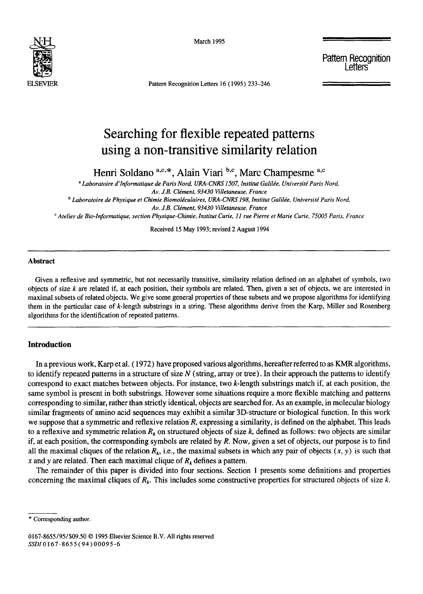

March 1995

**Pattern Recognition Letters** 

Pattern Recognition Letters 16 (1995) 233-246

# **Searching for flexible repeated patterns using a non-transitive similarity relation**

Henri Soldano a,c,\*, Alain Viari b,c, Marc Champesme a,c

<sup>a</sup> Laboratoire d'Informatique de Paris Nord, URA-CNRS 1507, Institut Galilée, Université Paris Nord, *.4v. J.B. Cld~ment, 93430 Villetaneuse, France*  <sup>b</sup> Laboratoire de Physique et Chimie Biomoléculaires, URA-CNRS 198, Institut Galilée, Université Paris Nord, *,'Iv. J.B. Cl~.ment, 93430 Villetaneuse, France* 

*c .4relier de Bio-Informatique, section Physique-Chimie, Institut Curie, 11 rue Pierre et Marie Curie, 75005 Paris, France* 

Received 15 May 1993; revised 2 August 1994

# **Abstract**

Given a reflexive and symmetric, but not necessarily transitive, similarity relation defined on an alphabet of symbols, two objects of size  $k$  are related if, at each position, their symbols are related. Then, given a set of objects, we are interested in maximal subsets of related objects. We give some general properties of these subsets and we propose algorithms for identifying them in the particular case of k-length substrings in a string. These algorithms derive from the Karp, Miller and Rosenberg algorithms for the identification of repeated patterns.

# **Introduction**

In a previous work, Karp et al. (1972) have proposed various algorithms, hereafter referred to as KMR algorithms, to identify repeated patterns in a structure of size  $N$  (string, array or tree). In their approach the patterns to identify correspond to exact matches between objects. For instance, two k-length substrings match if, at each position, the same symbol is present in both substrings. However some situations require a more flexible matching and patterns corresponding to similar, rather than strictly identical, objects are searched for. As an example, in molecular biology similar fragments of amino acid sequences may exhibit a similar 3D-structure or biological function. In this work we suppose that a symmetric and reflexive relation R, expressing a similarity, is defined on the alphabet. This leads to a reflexive and symmetric relation  $R_k$  on structured objects of size k, defined as follows: two objects are similar if, at each position, the corresponding symbols are related by R. Now, given a set of objects, our purpose is to find all the maximal cliques of the relation  $R_k$ , i.e., the maximal subsets in which any pair of objects  $(x, y)$  is such that x and y are related. Then each maximal clique of  $R_k$  defines a pattern.

The remainder of this paper is divided into four sections. Section 1 presents some definitions and properties concerning the maximal cliques of  $R_k$ . This includes some constructive properties for structured objects of size  $k$ .

\* Corresponding author.

<sup>0167-8655/95/\$09.50 © 1995</sup> Elsevier Science B.V. All rights reserved *SSDI0167-8655(94)00095-6*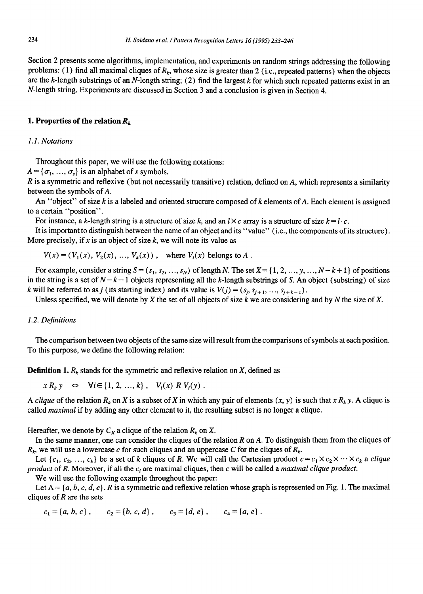Section 2 presents some algorithms, implementation, and experiments on random strings addressing the following problems: (1) find all maximal cliques of  $R_k$ , whose size is greater than 2 (i.e., repeated patterns) when the objects are the k-length substrings of an N-length string; (2) find the largest k for which such repeated patterns exist in an N-length string. Experiments are discussed in Section 3 and a conclusion is given in Section 4.

#### **1. Properties of the relation**  $R_k$

# *1.1. Notations*

Throughout this paper, we will use the following notations:

 $A = {\sigma_1, ..., \sigma_s}$  is an alphabet of s symbols.

 $R$  is a symmetric and reflexive (but not necessarily transitive) relation, defined on  $A$ , which represents a similarity between the symbols of A.

An "object" of size k is a labeled and oriented structure composed of k elements of A. Each element is assigned to a certain "position".

For instance, a k-length string is a structure of size k, and an  $l \times c$  array is a structure of size  $k = l \cdot c$ .

It is important to distinguish between the name of an object and its "value" (i.e., the components of its structure). More precisely, if x is an object of size k, we will note its value as

$$
V(x) = (V_1(x), V_2(x), ..., V_k(x))
$$
, where  $V_i(x)$  belongs to A.

For example, consider a string  $S = (s_1, s_2, ..., s_N)$  of length N. The set  $X = \{1, 2, ..., y, ..., N-k+1\}$  of positions in the string is a set of  $N-k+1$  objects representing all the k-length substrings of S. An object (substring) of size k will be referred to as j (its starting index) and its value is  $V(j) = (s_j, s_{j+1}, ..., s_{j+k-1})$ .

Unless specified, we will denote by X the set of all objects of size k we are considering and by N the size of X.

# *1.2. Definitions*

The comparison between two objects of the same size will result from the comparisons of symbols at each position. To this purpose, we define the following relation:

**Definition 1.**  $R_k$  stands for the symmetric and reflexive relation on X, defined as

 $X R_k y \Leftrightarrow \forall i \in \{1, 2, ..., k\}, \quad V_i(x) \; R \; V_i(y)$ .

*A clique* of the relation  $R_k$  on X is a subset of X in which any pair of elements  $(x, y)$  is such that x  $R_k y$ . A clique is called *maximal* if by adding any other element to it, the resulting subset is no longer a clique.

Hereafter, we denote by  $C_x$  a clique of the relation  $R_k$  on X.

In the same manner, one can consider the cliques of the relation  $R$  on  $A$ . To distinguish them from the cliques of  $R_k$ , we will use a lowercase c for such cliques and an uppercase C for the cliques of  $R_k$ .

Let  $\{c_1, c_2, ..., c_k\}$  be a set of k cliques of R. We will call the Cartesian product  $c = c_1 \times c_2 \times \cdots \times c_k$  a *clique product* of R. Moreover, if all the *ci are* maximal cliques, then c will be called a *maximal clique product.* 

We will use the following example throughout the paper:

Let  $A = \{a, b, c, d, e\}$ . R is a symmetric and reflexive relation whose graph is represented on Fig. 1. The maximal cliques of  $R$  are the sets

 $c_1 = \{a, b, c\}$ ,  $c_2 = \{b, c, d\}$ ,  $c_3 = \{d, e\}$ ,  $c_4 = \{a, e\}$ .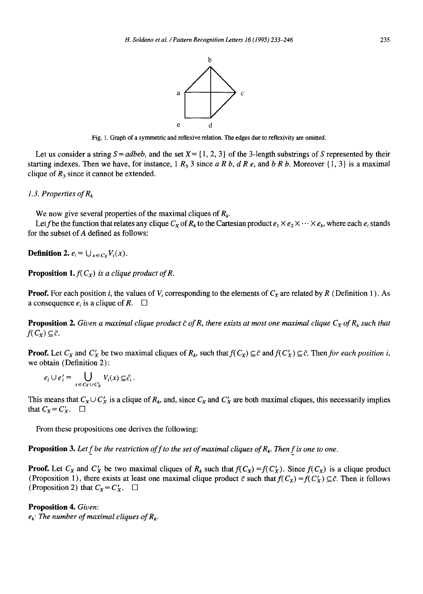

Fig. 1. Graph of a symmetric and reflexive relation. The edges due to reflexivity are omitted.

Let us consider a string  $S = adbeb$ , and the set  $X = \{1, 2, 3\}$  of the 3-length substrings of S represented by their starting indexes. Then we have, for instance,  $1 R_3 3$  since a R b, d R e, and b R b. Moreover  $\{1, 3\}$  is a maximal clique of  $R_3$  since it cannot be extended.

# *1.3. Properties of Rk*

We now give several properties of the maximal cliques of  $R_k$ .

Let f be the function that relates any clique  $C_x$  of  $R_k$  to the Cartesian product  $e_1 \times e_2 \times \cdots \times e_k$ , where each  $e_i$  stands for the subset of A defined as follows:

**Definition 2.**  $e_i = \bigcup_{x \in C_X} V_i(x)$ .

**Proposition 1.**  $f(C_X)$  is a clique product of R.

**Proof.** For each position i, the values of  $V_i$  corresponding to the elements of  $C_x$  are related by  $R$  (Definition 1). As a consequence  $e_i$  is a clique of  $R$ .  $\square$ 

**Proposition 2.** *Given a maximal clique product*  $\bar{c}$  *of R, there exists at most one maximal clique*  $C_x$  *of*  $R_k$  *such that*  $f(C_x) \subseteq \bar{c}$ .

**Proof.** Let  $C_x$  and  $C'_x$  be two maximal cliques of  $R_k$ , such that  $f(C_x) \subseteq \bar{c}$  and  $f(C'_x) \subseteq \bar{c}$ . Then *for each position i*, we obtain (Definition 2):

$$
e_i \cup e'_i = \bigcup_{x \in C_X \cup C'_X} V_i(x) \subseteq \bar{c}_i
$$

This means that  $C_x \cup C'_x$  is a clique of  $R_k$ , and, since  $C_x$  and  $C'_x$  are both maximal cliques, this necessarily implies that  $C_X = C'_X$ .  $\Box$ 

From these propositions one derives the following:

**Proposition 3.** Let f be the restriction of f to the set of maximal cliques of  $R_k$ . Then f is one to one.

**Proof.** Let  $C_x$  and  $C'_x$  be two maximal cliques of  $R_k$  such that  $f(C_x) = f(C'_x)$ . Since  $f(C_x)$  is a clique product (Proposition 1), there exists at least one maximal clique product  $\bar{c}$  such that  $f(C_X) = f(C_X') \subseteq \bar{c}$ . Then it follows (Proposition 2) that  $C_x = C'_x$ .  $\Box$ 

**Proposition 4.** *Given:*   $e_k$ : The number of maximal cliques of  $R_k$ .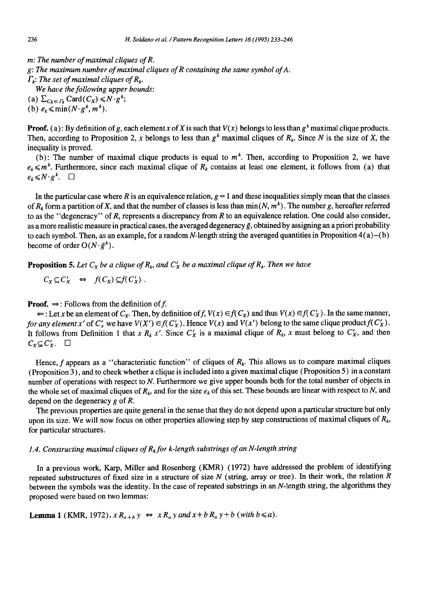*m: The number of maximal cliques of R. g: The maximum number of maximal cliques of R containing the same symbol of A.*   $\Gamma_k$ : The set of maximal cliques of  $R_k$ . *We have the following upper bounds:*  (a)  $\sum_{C_X \in \Gamma} \text{Card}(C_X) \leq N \cdot g^k$ ;

(b)  $e_k \leqslant \min(N \cdot g^k, m^k)$ .

**Proof.** (a): By definition of g, each element x of X is such that  $V(x)$  belongs to less than  $g^k$  maximal clique products. Then, according to Proposition 2, x belongs to less than  $g^k$  maximal cliques of  $R_k$ . Since N is the size of X, the inequality is proved.

(b): The number of maximal clique products is equal to  $m<sup>k</sup>$ . Then, according to Proposition 2, we have  $e_k \le m^k$ . Furthermore, since each maximal clique of  $R_k$  contains at least one element, it follows from (a) that  $e_k \leq N \cdot g^k$ .  $\Box$ 

In the particular case where R is an equivalence relation,  $g = 1$  and these inequalities simply mean that the classes of  $R_k$  form a partition of X, and that the number of classes is less than min(N,  $m^k$ ). The number g, hereafter referred to as the "degeneracy" of  $R$ , represents a discrepancy from  $R$  to an equivalence relation. One could also consider, as a more realistic measure in practical cases, the averaged degeneracy  $\bar{g}$ , obtained by assigning an a priori probability to each symbol. Then, as an example, for a random N-length string the averaged quantities in Proposition  $4(a)$ –(b) become of order  $O(N \cdot \bar{g}^k)$ .

**Proposition 5.** Let  $C_x$  be a clique of  $R_k$ , and  $C'_x$  be a maximal clique of  $R_k$ . Then we have

$$
C_X \subseteq C'_X \Leftrightarrow f(C_X) \subseteq f(C'_X).
$$

**Proof.**  $\Rightarrow$ : Follows from the definition of f.

 $\Leftarrow$ : Let x be an element of  $C_x$ . Then, by definition of f,  $V(x) \in f(C_x)$  and thus  $V(x) \in f(C'_x)$ . In the same manner, *for any element x'* of  $C'_x$  we have  $V(X') \in f(C'_x)$ . Hence  $V(x)$  and  $V(x')$  belong to the same clique product  $f(C'_x)$ . It follows from Definition 1 that x R<sub>k</sub> x'. Since C'<sub>x</sub> is a maximal clique of R<sub>k</sub>, x must belong to C'<sub>x</sub>, and then  $C_X \subseteq C'_X$ .  $\Box$ 

Hence, f appears as a "characteristic function" of cliques of  $R_k$ . This allows us to compare maximal cliques (Proposition 3 ), and to check whether a clique is included into a given maximal clique (Proposition 5) in a constant number of operations with respect to  $N$ . Furthermore we give upper bounds both for the total number of objects in the whole set of maximal cliques of  $R_k$ , and for the size  $e_k$  of this set. These bounds are linear with respect to N, and depend on the degeneracy  $g$  of  $R$ .

The previous properties are quite general in the sense that they do not depend upon a particular structure but only upon its size. We will now focus on other properties allowing step by step constructions of maximal cliques of  $R_k$ , for particular structures.

### *1.4. Constructing maximal cliques of Rkfor k-length substrings of an N-length string*

In a previous work, Karp, Miller and Rosenberg (KMR) (1972) have addressed the problem of identifying repeated substructures of fixed size in a structure of size  $N$  (string, array or tree). In their work, the relation  $R$ between the symbols was the identity. In the case of repeated substrings in an N-length string, the algorithms they proposed were based on two lemmas:

**Lemma 1** (KMR, 1972).  $x R_{a+b} y \Leftrightarrow x R_a y$  and  $x+b R_a y+b$  (with  $b \le a$ ).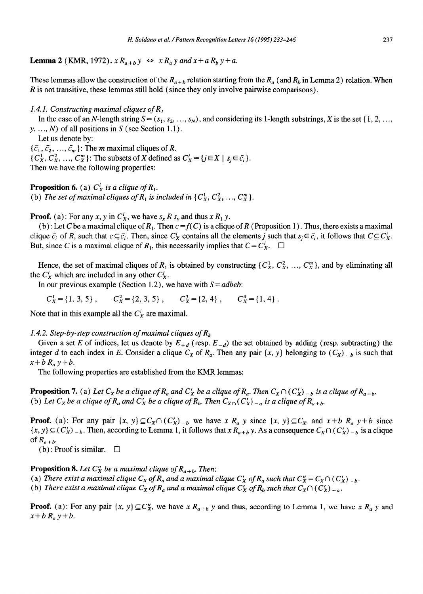**Lemma 2** (KMR, 1972).  $x R_{a+b} y \Leftrightarrow x R_a y$  and  $x+a R_b y+a$ .

These lemmas allow the construction of the  $R_{a+b}$  relation starting from the  $R_a$  (and  $R_b$  in Lemma 2) relation. When R is not transitive, these lemmas still hold (since they only involve pairwise comparisons).

*1.4.1. Constructing maximal cliques of R1* 

In the case of an N-length string  $S = (s_1, s_2, ..., s_N)$ , and considering its 1-length substrings, X is the set {1, 2, ...  $y, \ldots, N$  of all positions in S (see Section 1.1).

Let us denote by:

 $\{\bar{c}_1, \bar{c}_2, \ldots, \bar{c}_m\}$ : The *m* maximal cliques of *R*.

 $\{C_X^1, C_X^2, ..., C_X^m\}$ : The subsets of X defined as  $C_X^i = \{j \in X \mid s_j \in \bar{c}_i\}.$ 

Then we have the following properties:

**Proposition 6.** (a)  $C_X^i$  is a clique of  $R_1$ . (b) *The set of maximal cliques of*  $R_1$  *is included in*  $\{C_x^1, C_x^2, ..., C_x^m\}$ .

**Proof.** (a): For any x, y in  $C_X^i$ , we have  $s_X R s_Y$  and thus x  $R_1 y$ .

(b): Let C be a maximal clique of  $R_1$ . Then  $c = f(C)$  is a clique of R (Proposition 1). Thus, there exists a maximal clique  $\bar{c}_i$  of R, such that  $c \subseteq \bar{c}_i$ . Then, since  $C_X^i$  contains all the elements j such that  $s_i \in \bar{c}_i$ , it follows that  $C \subseteq C_X^i$ . But, since C is a maximal clique of  $R_1$ , this necessarily implies that  $C = C_X^i$ .  $\Box$ 

Hence, the set of maximal cliques of  $R_1$  is obtained by constructing  $\{C_x^1, C_x^2, ..., C_x^m\}$ , and by eliminating all the  $C_X^{\prime}$  which are included in any other  $C_X^{\prime}$ .

In our previous example (Section 1.2), we have with  $S = adbeb$ :

 $C_x^1 = \{1, 3, 5\}, C_x^2 = \{2, 3, 5\}, C_x^3 = \{2, 4\}, C_x^4 = \{1, 4\}.$ 

Note that in this example all the  $C_X^i$  are maximal.

# 1.4.2. Step-by-step construction of maximal cliques of  $R_k$

Given a set E of indices, let us denote by  $E_{+d}$  (resp.  $E_{-d}$ ) the set obtained by adding (resp. subtracting) the integer d to each index in E. Consider a clique  $C_x$  of  $R_a$ . Then any pair  $\{x, y\}$  belonging to  $(C_x)_{-b}$  is such that  $x + b R_a y + b.$ 

The following properties are established from the KMR lemmas:

**Proposition 7.** (a) Let  $C_x$  be a clique of  $R_a$  and  $C'_x$  be a clique of  $R_a$ . Then  $C_x \cap (C'_x)_{-b}$  is a clique of  $R_{a+b}$ . (b) Let  $C_x$  be a clique of  $R_a$  and  $C'_x$  be a clique of  $R_b$ . Then  $C_{X} \cap (C'_x)_{-a}$  is a clique of  $R_{a+b}$ .

**Proof.** (a): For any pair  $\{x, y\} \subseteq C_x \cap (C_x')_{-b}$  we have  $x R_a y$  since  $\{x, y\} \subseteq C_x$ , and  $x + b R_a y + b$  since  $\{x, y\} \subseteq (C_X')_{-b}$ . Then, according to Lemma 1, it follows that  $x R_{a+b}$  y. As a consequence  $C_X \cap (C_X')_{-b}$  is a clique of  $R_{a+b}$ .

(b): Proof is similar.  $\Box$ 

**Proposition 8.** Let  $C''_X$  be a maximal clique of  $R_{a+b}$ . Then:

(a) *There exist a maximal clique*  $C_X$  *of*  $R_a$  *and a maximal clique*  $C'_X$  *of*  $R_a$  *such that*  $C''_X = C_X \cap (C'_X)_{-b}$ .

(b) There exist a maximal clique  $C_x$  of  $R_a$  and a maximal clique  $C'_x$  of  $R_b$  such that  $C_x \cap (C'_x)_{-a}$ .

**Proof.** (a): For any pair  $\{x, y\} \subseteq C_X^{\omega}$ , we have  $x R_{a+b}$  *y* and thus, according to Lemma 1, we have  $x R_a$  *y* and  $x+b R_a y+b$ .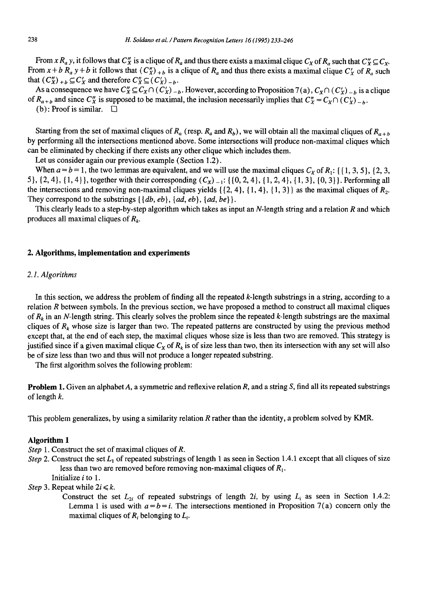From x  $R_a$ y, it follows that  $C''_X$  is a clique of  $R_a$  and thus there exists a maximal clique  $C_X$  of  $R_a$  such that  $C''_X \subseteq C_X$ . From  $x + b R_a y + b$  it follows that  $(C''_x)_{+b}$  is a clique of  $R_a$  and thus there exists a maximal clique  $C'_x$  of  $R_a$  such that  $(C''_X)_{+b} \subseteq C'_X$  and therefore  $C''_X \subseteq (C'_X)_{-b}$ .

As a consequence we have  $C''_X \subseteq C_X \cap (C'_X)_{-b}$ . However, according to Proposition 7(a),  $C_X \cap (C'_X)_{-b}$  is a clique of  $R_{a+b}$  and since  $C''_X$  is supposed to be maximal, the inclusion necessarily implies that  $C''_X = C_X \cap (C'_X)_{-b}$ .

(b): Proof is similar.  $\Box$ 

Starting from the set of maximal cliques of  $R_a$  (resp.  $R_a$  and  $R_b$ ), we will obtain all the maximal cliques of  $R_{a+b}$ by performing all the intersections mentioned above. Some intersections will produce non-maximal cliques which can be eliminated by checking if there exists any other clique which includes them.

Let us consider again our previous example (Section 1.2).

When  $a = b = 1$ , the two lemmas are equivalent, and we will use the maximal cliques  $C_x$  of  $R_1$ : {{1, 3, 5}, {2, 3,}} 5},  $\{2, 4\}$ ,  $\{1, 4\}$ }, together with their corresponding  $(C_X)_{-1}$ :  $\{\{0, 2, 4\}, \{1, 2, 4\}, \{1, 3\}, \{0, 3\}\}\$ . Performing all the intersections and removing non-maximal cliques yields  $\{\{2, 4\}, \{1, 4\}, \{1, 3\}\}$  as the maximal cliques of  $R_2$ . They correspond to the substrings {{db, *eb}, {ad, eb}, {ad, be} }.* 

This clearly leads to a step-by-step algorithm which takes as input an  $N$ -length string and a relation  $R$  and which produces all maximal cliques of  $R_k$ .

# **2. Algorithms, implementation and experiments**

# *2.1. Algorithms*

In this section, we address the problem of finding all the repeated  $k$ -length substrings in a string, according to a relation  *between symbols. In the previous section, we have proposed a method to construct all maximal cliques* of  $R_k$  in an N-length string. This clearly solves the problem since the repeated k-length substrings are the maximal cliques of  $R_k$  whose size is larger than two. The repeated patterns are constructed by using the previous method except that, at the end of each step, the maximal cliques whose size is less than two are removed. This strategy is justified since if a given maximal clique  $C_x$  of  $R_k$  is of size less than two, then its intersection with any set will also be of size less than two and thus will not produce a longer repeated substring.

The first algorithm solves the following problem:

**Problem** 1. Given an alphabet A, a symmetric and reflexive relation R, and a string S, find all its repeated substrings of length k.

This problem generalizes, by using a similarity relation R rather than the identity, a problem solved by KMR.

### Algorithm 1

*Step* 1. Construct the set of maximal cliques of R.

*Step* 2. Construct the set  $L_1$  of repeated substrings of length 1 as seen in Section 1.4.1 except that all cliques of size less than two are removed before removing non-maximal cliques of  $R_1$ .

Initialize i to 1. *Step* 3. Repeat while  $2i \leq k$ .

> Construct the set  $L_{2i}$  of repeated substrings of length 2i, by using  $L_i$  as seen in Section 1.4.2: Lemma 1 is used with  $a=b=i$ . The intersections mentioned in Proposition 7(a) concern only the maximal cliques of  $R_i$  belonging to  $L_i$ .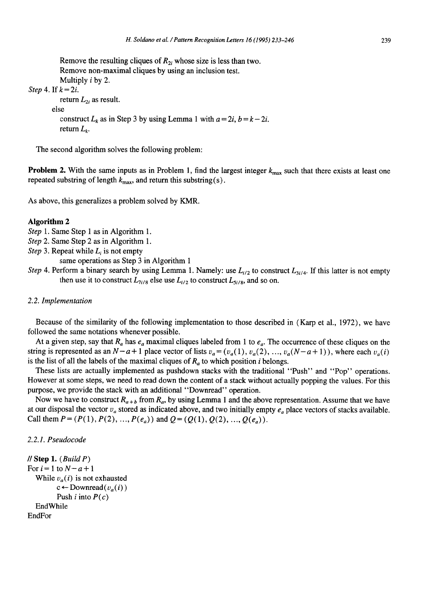Remove the resulting cliques of  $R_{2i}$  whose size is less than two. Remove non-maximal cliques by using an inclusion test. Multiply i by 2.

*Step* 4. If  $k = 2i$ .

return  $L_{2i}$  as result.

else

construct  $L_k$  as in Step 3 by using Lemma 1 with  $a = 2i$ ,  $b = k - 2i$ . return  $L_k$ .

The second algorithm solves the following problem:

**Problem 2.** With the same inputs as in Problem 1, find the largest integer  $k_{\text{max}}$  such that there exists at least one repeated substring of length  $k_{\text{max}}$ , and return this substring (s).

As above, this generalizes a problem solved by KMR.

# **Algorithm 2**

*Step* 1. Same Step 1 as in Algorithm 1.

*Step* 2. Same Step 2 as in Algorithm 1.

*Step* 3. Repeat while *L*, is not empty

same operations as Step 3 in Algorithm 1

*Step* 4. Perform a binary search by using Lemma 1. Namely: use  $L_{i/2}$  to construct  $L_{3i/4}$ . If this latter is not empty then use it to construct  $L_{7i/8}$  else use  $L_{i/2}$  to construct  $L_{5i/8}$ , and so on.

# *2.2. Implementation*

Because of the similarity of the following implementation to those described in (Karp et al., 1972), we have followed the same notations whenever possible.

At a given step, say that  $R_a$  has  $e_a$  maximal cliques labeled from 1 to  $e_a$ . The occurrence of these cliques on the string is represented as an  $N-a+1$  place vector of lists  $v_a = (v_a(1), v_a(2), ..., v_a(N-a+1))$ , where each  $v_a(i)$ is the list of all the labels of the maximal cliques of  $R_a$  to which position i belongs.

These lists are actually implemented as pushdown stacks with the traditional "Push" and "Pop" operations. However at some steps, we need to read down the content of a stack without actually popping the values. For this purpose, we provide the stack with an additional "Downread" operation.

Now we have to construct  $R_{a+b}$  from  $R_a$ , by using Lemma 1 and the above representation. Assume that we have at our disposal the vector *Va* stored as indicated above, and two initially empty *ea* place vectors of stacks available. Call them  $P = (P(1), P(2), ..., P(e_a))$  and  $Q = (Q(1), Q(2), ..., Q(e_a))$ .

#### *2.2.1. Pseudocode*

```
//Step 1. (Build P) 
For i = 1 to N - a + 1While v_a(i) is not exhausted
         c \leftarrow Downread(v_a(i))
         Push i into P(c)EndWhile 
EndFor
```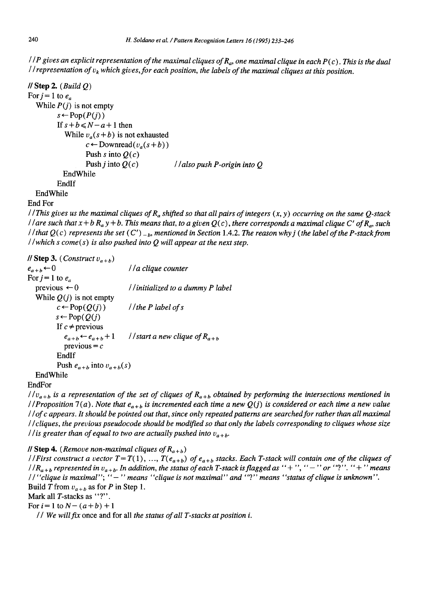*//P gives an explicit representation of the maximal cliques of Ra, one maximal clique in each P ( c ) . This is the dual //representation of*  $v_k$  *which gives, for each position, the labels of the maximal cliques at this position.* 

```
II Step 2. (Build Q) 
For j=1 to e_aWhile P(j) is not empty
         s \leftarrow Pop(P(i))If s+b \le N-a+1 then
           While v_a(s + b) is not exhausted
                  c \leftarrowDownread(v_a(s + b))
                  Push s into Q(c) 
                  Push j into Q(c) //also push P-origin into Q
          EndWhile 
         Endlf 
  EndWhile
```
# End For

 $/$  / This gives us the maximal cliques of  $R_a$  shifted so that all pairs of integers  $(x, y)$  occurring on the same Q-stack *//are such that x + b R<sub>a</sub>y + b. This means that, to a given*  $Q(c)$ *, there corresponds a maximal clique C' of R<sub>a</sub>, such //that Q(c) represents the set (C')*  $_{-b}$ , mentioned in Section 1.4.2. The *reason why j (the label of the P-stack from //which s come(s) is also pushed into Q will appear at the next step.* 

```
// Step 3. (Construct\ v_{a+b})e_{a+b} \leftarrow 0 //a clique counter
For j=1 to e_aprevious ~ 0 //initialized to a dummy P label 
  While Q(i) is not empty
         c \leftarrow Pop(Q(j)) //the P label of s
         s \leftarrow Pop(O(i))If c \neq previous
           e_{a+b} \leftarrow e_{a+b} + 1 //start a new clique of R_{a+b}previous =cEndlf 
         Push e_{a+b} into v_{a+b}(s)EndWhile
```
# EndFor

 $1/v_{a+b}$  is a representation of the set of cliques of  $R_{a+b}$  obtained by performing the intersections mentioned in *//Proposition*  $7(a)$ . *Note that*  $e_{a+b}$  *is incremented each time a new*  $Q(j)$  *is considered or each time a new value //ofc appears. It should be pointed out that, since only repeated patterns are searched for rather than all maximal //cliques, the previous pseudocode should be modified so that only the labels corresponding to cliques whose size //is greater than of equal to two are actually pushed into*  $v_{a+b}$ *.* 

*// Step 4. (Remove non-maximal cliques of*  $R_{a+b}$ *)* 

*//First construct a vector T* =  $T(1)$ , ...,  $T(e_{a+b})$  of  $e_{a+b}$  stacks. Each T-stack will contain one of the cliques of  $1/R_{a+b}$  represented in  $v_{a+b}$ . In addition, the status of each T-stack is flagged as "+", "-" or "?". "+" means *//"clique is maximal"; "- "means "clique is not maximal" and "?" means "status of clique is unknown"*  Build T from  $v_{a+b}$  as for P in Step 1.

Mark all T-stacks as "?". For  $i=1$  to  $N-(a+b)+1$ 

*//We wilI fix* once and for all *the status of all T-stacks at position i.*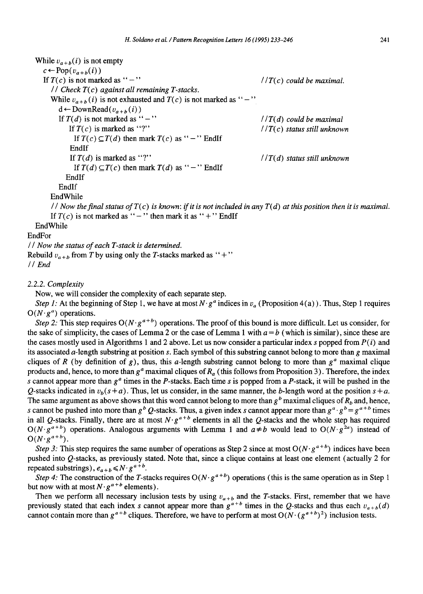| While $v_{a+b}(i)$ is not empty                                                                                      |                               |
|----------------------------------------------------------------------------------------------------------------------|-------------------------------|
| $c \leftarrow \text{Pop}(v_{a+h}(i))$                                                                                |                               |
| If $T(c)$ is not marked as "-"                                                                                       | $1/T(c)$ could be maximal.    |
| $\frac{1}{\sqrt{1}}$ Check $T(c)$ against all remaining T-stacks.                                                    |                               |
| While $v_{a+b}(i)$ is not exhausted and $T(c)$ is not marked as "-"                                                  |                               |
| $d \leftarrow$ DownRead $(v_{a+b}(i))$                                                                               |                               |
| If $T(d)$ is not marked as "-"                                                                                       | $1/T(d)$ could be maximal     |
| If $T(c)$ is marked as "?"                                                                                           | $1/T(c)$ status still unknown |
| If $T(c) \subseteq T(d)$ then mark $T(c)$ as " - " EndIf                                                             |                               |
| EndIf                                                                                                                |                               |
| If $T(d)$ is marked as "?"                                                                                           | $1/T(d)$ status still unknown |
| If $T(d) \subseteq T(c)$ then mark $T(d)$ as "-" EndIf                                                               |                               |
| EndIf                                                                                                                |                               |
| EndIf                                                                                                                |                               |
| EndWhile                                                                                                             |                               |
| // Now the final status of $T(c)$ is known: if it is not included in any $T(d)$ at this position then it is maximal. |                               |
| If $T(c)$ is not marked as " – " then mark it as " + " EndIf                                                         |                               |
| EndWhile                                                                                                             |                               |
| EndFor                                                                                                               |                               |
| // Now the status of each T-stack is determined.                                                                     |                               |
| Rebuild $v_{a+b}$ from T by using only the T-stacks marked as "+"                                                    |                               |
| // End                                                                                                               |                               |

*2.2.2. Complexity* 

Now, we will consider the complexity of each separate step.

*Step 1:* At the beginning of Step 1, we have at most  $N \cdot g^a$  indices in  $v_a$  (Proposition 4(a)). Thus, Step 1 requires  $O(N \cdot g^a)$  operations.

*Step 2:* This step requires  $O(N \cdot g^{a+b})$  operations. The proof of this bound is more difficult. Let us consider, for the sake of simplicity, the cases of Lemma 2 or the case of Lemma 1 with  $a = b$  (which is similar), since these are the cases mostly used in Algorithms 1 and 2 above. Let us now consider a particular index s popped from  $P(i)$  and its associated a-length substring at position s. Each symbol of this substring cannot belong to more than g maximal cliques of R (by definition of g), thus, this a-length substring cannot belong to more than  $g^a$  maximal clique products and, hence, to more than  $g^a$  maximal cliques of  $R_a$  (this follows from Proposition 3). Therefore, the index s cannot appear more than  $g<sup>a</sup>$  times in the P-stacks. Each time s is popped from a P-stack, it will be pushed in the Q-stacks indicated in  $v<sub>b</sub>(s + a)$ . Thus, let us consider, in the same manner, the b-length word at the position  $s + a$ . The same argument as above shows that this word cannot belong to more than  $g<sup>b</sup>$  maximal cliques of  $R<sub>b</sub>$  and, hence, s cannot be pushed into more than  $g^b Q$ -stacks. Thus, a given index s cannot appear more than  $g^a \cdot g^b = g^{a+b}$  times in all Q-stacks. Finally, there are at most  $N \cdot g^{a+b}$  elements in all the Q-stacks and the whole step has required  $O(N \cdot g^{a+b})$  operations. Analogous arguments with Lemma 1 and  $a \neq b$  would lead to  $O(N \cdot g^{2a})$  instead of  $O(N \cdot g^{a+b})$ .

*Step 3:* This step requires the same number of operations as Step 2 since at most  $O(N \cdot g^{a+b})$  indices have been pushed into Q-stacks, as previously stated. Note that, since a clique contains at least one element (actually 2 for repeated substrings),  $e_{a+b} \le N \cdot g^{a+b}$ .

*Step 4:* The construction of the T-stacks requires  $O(N \cdot g^{a+b})$  operations (this is the same operation as in Step 1) but now with at most  $N \cdot g^{a+b}$  elements).

Then we perform all necessary inclusion tests by using  $v_{a+b}$  and the T-stacks. First, remember that we have previously stated that each index s cannot appear more than  $g^{a+b}$  times in the Q-stacks and thus each  $v_{a+b}(d)$ cannot contain more than  $g^{a+b}$  cliques. Therefore, we have to perform at most  $O(N \cdot (g^{a+b})^2)$  inclusion tests.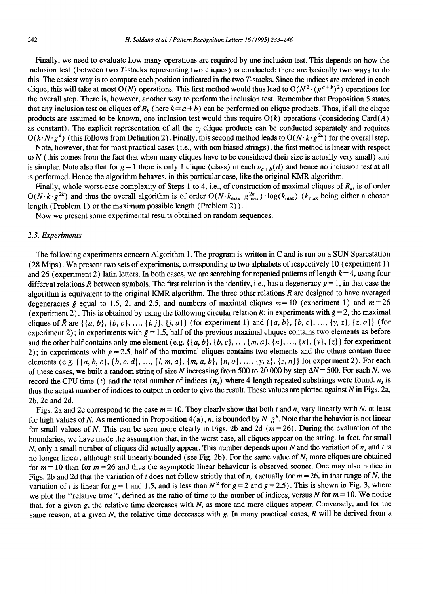Finally, we need to evaluate how many operations are required by one inclusion test. This depends on how the inclusion test (between two T-stacks representing two cliques) is conducted: there are basically two ways to do this. The easiest way is to compare each position indicated in the two T-stacks. Since the indices are ordered in each clique, this will take at most  $O(N)$  operations. This first method would thus lead to  $O(N^2 \cdot (g^{a+b})^2)$  operations for the overall step. There is, however, another way to perform the inclusion test. Remember that Proposition 5 states that any inclusion test on cliques of  $R_k$  (here  $k = a + b$ ) can be performed on clique products. Thus, if all the clique products are assumed to be known, one inclusion test would thus require  $O(k)$  operations (considering Card(A) as constant). The explicit representation of all the  $c_f$  clique products can be conducted separately and requires  $O(k \cdot N \cdot g^k)$  (this follows from Definition 2). Finally, this second method leads to  $O(N \cdot k \cdot g^{2k})$  for the overall step.

Note, however, that for most practical cases (i.e., with non biased strings), the first method is linear with respect to  $N$  (this comes from the fact that when many cliques have to be considered their size is actually very small) and is simpler. Note also that for  $g = 1$  there is only 1 clique (class) in each  $v_{a+b}(d)$  and hence no inclusion test at all is performed. Hence the algorithm behaves, in this particular case, like the original KMR algorithm.

Finally, whole worst-case complexity of Steps 1 to 4, i.e., of construction of maximal cliques of *Rk,* is of order  $O(N \cdot k \cdot g^{2k})$  and thus the overall algorithm is of order  $O(N \cdot k_{\text{max}} \cdot g_{\text{max}}^{2k}) \cdot \log(k_{\text{max}})$  ( $k_{\text{max}}$  being either a chosen length (Problem 1) or the maximum possible length (Problem 2)).

Now we present some experimental results obtained on random sequences.

#### *2.3. Experiments*

The following experiments concern Algorithm 1. The program is written in C and is run on a SUN Sparcstation (28 Mips). We present two sets of experiments, corresponding to two alphabets of respectively 10 (experiment 1 ) and 26 (experiment 2) latin letters. In both cases, we are searching for repeated patterns of length  $k = 4$ , using four different relations R between symbols. The first relation is the identity, i.e., has a degeneracy  $g = 1$ , in that case the algorithm is equivalent to the original KMR algorithm. The three other relations  $R$  are designed to have averaged degeneracies  $\bar{g}$  equal to 1.5, 2, and 2.5, and numbers of maximal cliques  $m=10$  (experiment 1) and  $m=26$ (experiment 2). This is obtained by using the following circular relation R: in experiments with  $\bar{g} = 2$ , the maximal cliques of  $\bar{R}$  are  $\{\{a, b\}, \{b, c\}, \ldots, \{i, j\}, \{j, a\}\}\$  (for experiment 1) and  $\{\{a, b\}, \{b, c\}, \ldots, \{y, z\}, \{z, a\}\$  (for experiment 2); in experiments with  $\bar{g} = 1.5$ , half of the previous maximal cliques contains two elements as before and the other half contains only one element (e.g.  $\{a, b\}, \{b, c\}, \ldots, \{m, a\}, \{n\}, \ldots, \{x\}, \{y\}, \{z\} \}$  for experiment 2); in experiments with  $\bar{g} = 2.5$ , half of the maximal cliques contains two elements and the others contain three elements (e.g.  $\{(a, b, c), (b, c, d), ..., (l, m, a), (m, a, b), (n, o), ..., (y, z), (z, n)\}\)$  for experiment 2). For each of these cases, we built a random string of size N increasing from 500 to 20 000 by step  $\Delta N$  = 500. For each N, we record the CPU time (t) and the total number of indices  $(n<sub>s</sub>)$  where 4-length repeated substrings were found.  $n<sub>s</sub>$  is thus the actual number of indices to output in order to give the result. These values are plotted against  $N$  in Figs. 2a, 2b, 2c and 2d.

Figs. 2a and 2c correspond to the case  $m = 10$ . They clearly show that both t and  $n<sub>s</sub>$  vary linearly with N, at least for high values of N. As mentioned in Proposition 4(a),  $n_s$  is bounded by  $N \cdot g^k$ . Note that the behavior is not linear for small values of N. This can be seen more clearly in Figs. 2b and 2d ( $m=26$ ). During the evaluation of the boundaries, we have made the assumption that, in the worst case, all cliques appear on the string. In fact, for small N, only a small number of cliques did actually appear. This number depends upon N and the variation of  $n_s$  and t is no longer linear, although still linearly bounded (see Fig. 2b). For the same value of N, more cliques are obtained for  $m = 10$  than for  $m = 26$  and thus the asymptotic linear behaviour is observed sooner. One may also notice in Figs. 2b and 2d that the variation of t does not follow strictly that of  $n_s$  (actually for  $m = 26$ , in that range of N, the variation of t is linear for  $g = 1$  and 1.5, and is less than  $N^2$  for  $g = 2$  and  $g = 2.5$ ). This is shown in Fig. 3, where we plot the "relative time", defined as the ratio of time to the number of indices, versus N for  $m = 10$ . We notice that, for a given  $g$ , the relative time decreases with  $N$ , as more and more cliques appear. Conversely, and for the same reason, at a given N, the relative time decreases with g. In many practical cases, R will be derived from a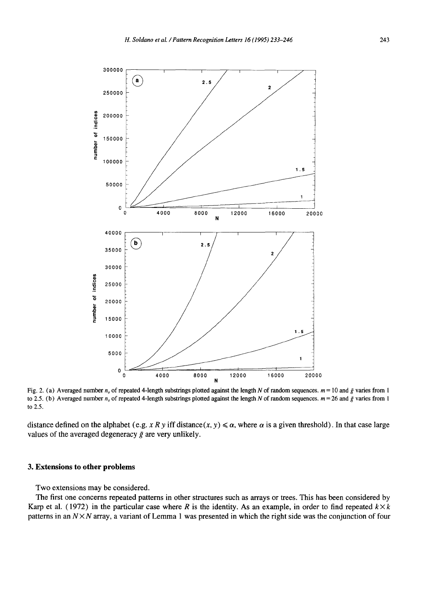

Fig. 2. (a) Averaged number  $n<sub>s</sub>$  of repeated 4-length substrings plotted against the length N of random sequences.  $m = 10$  and  $\bar{g}$  varies from 1 to 2.5. (b) Averaged number  $n<sub>s</sub>$  of repeated 4-length substrings plotted against the length N of random sequences.  $m = 26$  and  $\bar{g}$  varies from 1 to 2.5.

distance defined on the alphabet (e.g. x R y iff distance(x, y)  $\leq \alpha$ , where  $\alpha$  is a given threshold). In that case large values of the averaged degeneracy  $\bar{g}$  are very unlikely.

#### **3. Extensions to other problems**

Two extensions may be considered.

The first one concerns repeated patterns in other structures such as arrays or trees. This has been considered by Karp et al. (1972) in the particular case where R is the identity. As an example, in order to find repeated  $k \times k$ patterns in an  $N \times N$  array, a variant of Lemma 1 was presented in which the right side was the conjunction of four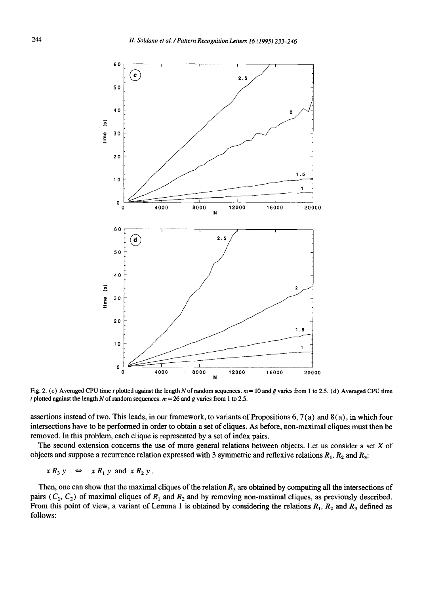

Fig. 2. (c) Averaged CPU time t plotted against the length N of random sequences.  $m = 10$  and  $\bar{g}$  varies from 1 to 2.5. (d) Averaged CPU time t plotted against the length N of random sequences,  $m = 26$  and  $\bar{g}$  varies from 1 to 2.5.

assertions instead of two. This leads, in our framework, to variants of Propositions 6, 7(a) and 8(a), in which four intersections have to be performed in order to obtain a set of cliques. As before, non-maximal cliques must then be removed. In this problem, each clique is represented by a set of index pairs.

The second extension concerns the use of more general relations between objects. Let us consider a set  $X$  of objects and suppose a recurrence relation expressed with 3 symmetric and reflexive relations  $R_1, R_2$  and  $R_3$ :

 $x R_3 y \Leftrightarrow x R_1 y \text{ and } x R_2 y$ .

Then, one can show that the maximal cliques of the relation  $R_3$  are obtained by computing all the intersections of pairs ( $C_1$ ,  $C_2$ ) of maximal cliques of  $R_1$  and  $R_2$  and by removing non-maximal cliques, as previously described. From this point of view, a variant of Lemma 1 is obtained by considering the relations  $R_1$ ,  $R_2$  and  $R_3$  defined as follows: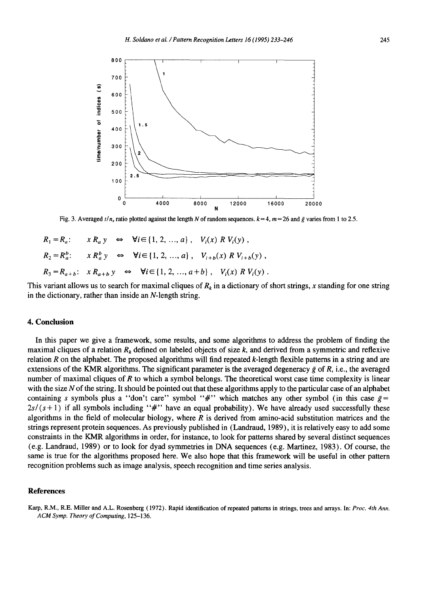

Fig. 3. Averaged  $t/n_s$  ratio plotted against the length N of random sequences,  $k = 4$ ,  $m = 26$  and  $\bar{g}$  varies from 1 to 2.5.

 $R_1 = R_a:$   $x R_a y \Leftrightarrow$   $\forall i \in \{1, 2, ..., a\},$   $V_i(x) R V_i(y)$ ,  $R_2 = R_a^b$ :  $x R_a^b y \Leftrightarrow \forall i \in \{1, 2, ..., a\}, \quad V_{i+b}(x) R V_{i+b}(y)$ ,  $R_3 = R_{a+b}$ :  $x R_{a+b}$   $y \Leftrightarrow \forall i \in \{1, 2, ..., a+b\}$ ,  $V_i(x) R V_i(y)$ .

This variant allows us to search for maximal cliques of  $R_k$  in a dictionary of short strings, x standing for one string in the dictionary, rather than inside an N-length string.

#### **4. Conclusion**

In this paper we give a framework, some results, and some algorithms to address the problem of finding the maximal cliques of a relation  $R_k$  defined on labeled objects of size  $k$ , and derived from a symmetric and reflexive relation  $R$  on the alphabet. The proposed algorithms will find repeated  $k$ -length flexible patterns in a string and are extensions of the KMR algorithms. The significant parameter is the averaged degeneracy  $\bar{g}$  of R, i.e., the averaged number of maximal cliques of  $R$  to which a symbol belongs. The theoretical worst case time complexity is linear with the size  $N$  of the string. It should be pointed out that these algorithms apply to the particular case of an alphabet containing s symbols plus a "don't care" symbol "#" which matches any other symbol (in this case  $\bar{g}$  =  $2s/(s+1)$  if all symbols including "#" have an equal probability). We have already used successfully these algorithms in the field of molecular biology, where  $R$  is derived from amino-acid substitution matrices and the strings represent protein sequences. As previously published in (Landraud, 1989), it is relatively easy to add some constraints in the KMR algorithms in order, for instance, to look for patterns shared by several distinct sequences (e.g. Landraud, 1989) or to look for dyad symmetries in DNA sequences (e.g. Martinez, 1983). Of course, the same is true for the algorithms proposed here. We also hope that this framework will be useful in other pattern recognition problems such as image analysis, speech recognition and time series analysis.

#### **References**

Karp, R.M., R.E. Miller and A.L Rosenberg (1972). Rapid identification of repeated patterns in strings, trees and arrays. In: *Proc. 4th Ann. ACM Syrup. Theory of Computing,* 125-136.